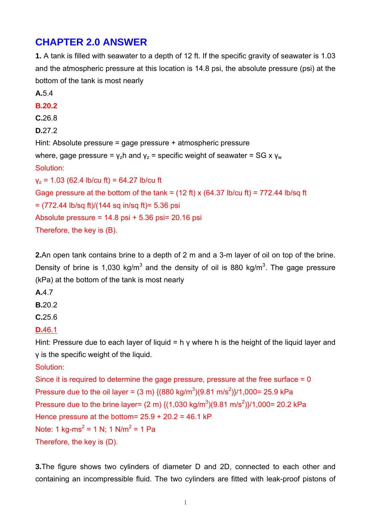# **CHAPTER 2.0 ANSWER**

**1.** A tank is filled with seawater to a depth of 12 ft. If the specific gravity of seawater is 1.03 and the atmospheric pressure at this location is 14.8 psi, the absolute pressure (psi) at the bottom of the tank is most nearly

**A.**5.4 **B.20.2 C.**26.8 **D.**27.2 Hint: Absolute pressure = gage pressure + atmospheric pressure where, gage pressure =  $v_z$ h and  $v_z$  = specific weight of seawater = SG x  $v_w$ Solution:  $v<sub>z</sub> = 1.03$  (62.4 lb/cu ft) = 64.27 lb/cu ft Gage pressure at the bottom of the tank =  $(12 ft)$  x  $(64.37 lb/cu ft)$  = 772.44 lb/sq ft  $= (772.44 \text{ lb/sq ft})/(144 \text{ sq in/sq ft}) = 5.36 \text{ psi}$ Absolute pressure =  $14.8$  psi +  $5.36$  psi =  $20.16$  psi Therefore, the key is (B).

**2.**An open tank contains brine to a depth of 2 m and a 3-m layer of oil on top of the brine. Density of brine is 1,030 kg/m<sup>3</sup> and the density of oil is 880 kg/m<sup>3</sup>. The gage pressure (kPa) at the bottom of the tank is most nearly

**A.**4.7

**B.**20.2

**C.**25.6

**D.**46.1

Hint: Pressure due to each layer of liquid = h  $\gamma$  where h is the height of the liquid layer and γ is the specific weight of the liquid.

Solution:

Since it is required to determine the gage pressure, pressure at the free surface = 0 Pressure due to the oil layer = (3 m) {(880 kg/m<sup>3</sup>)(9.81 m/s<sup>2</sup>)}/1,000= 25.9 kPa Pressure due to the brine layer= (2 m) {(1,030 kg/m<sup>3</sup>)(9.81 m/s<sup>2</sup>)}/1,000= 20.2 kPa Hence pressure at the bottom=  $25.9 + 20.2 = 46.1$  kP Note: 1 kg-ms<sup>2</sup> = 1 N; 1 N/m<sup>2</sup> = 1 Pa Therefore, the key is (D).

**3.**The figure shows two cylinders of diameter D and 2D, connected to each other and containing an incompressible fluid. The two cylinders are fitted with leak-proof pistons of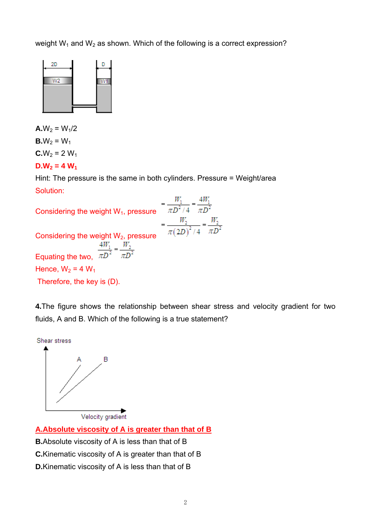weight  $W_1$  and  $W_2$  as shown. Which of the following is a correct expression?



 $A.W_2 = W_1/2$ **B.** $W_2 = W_1$  $C.W_2 = 2 W_1$ 

 $D.W_2 = 4 W_1$ 

Hint: The pressure is the same in both cylinders. Pressure = Weight/area Solution:

| Considering the weight $W_1$ , pressure |                        |
|-----------------------------------------|------------------------|
| Considering the weight $W_2$ , pressure | $\pi D^2$<br>$\pi(2D)$ |
| Equating the two,                       |                        |
| Hence, $W_2$ = 4 $W_1$                  |                        |
| Therefore, the key is (D).              |                        |

**4.**The figure shows the relationship between shear stress and velocity gradient for two fluids, A and B. Which of the following is a true statement?



Velocity gradient

**A.Absolute viscosity of A is greater than that of B**

- **B.**Absolute viscosity of A is less than that of B
- **C.**Kinematic viscosity of A is greater than that of B
- **D.**Kinematic viscosity of A is less than that of B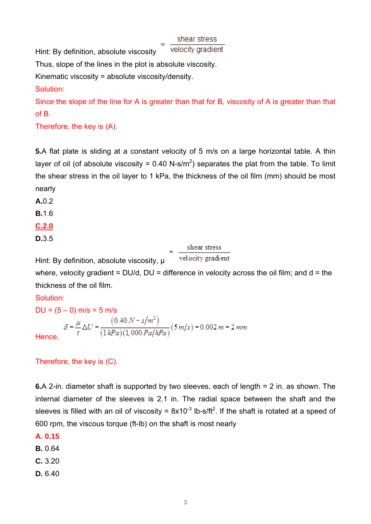shear stress

velocity gradient Hint: By definition, absolute viscosity

Thus, slope of the lines in the plot is absolute viscosity.

Kinematic viscosity = absolute viscosity/density.

Solution:

Since the slope of the line for A is greater than that for B, viscosity of A is greater than that of B.

Therefore, the key is (A).

**5.**A flat plate is sliding at a constant velocity of 5 m/s on a large horizontal table. A thin layer of oil (of absolute viscosity = 0.40 N-s/m<sup>2</sup>) separates the plat from the table. To limit the shear stress in the oil layer to 1 kPa, the thickness of the oil film (mm) should be most nearly

**A.**0.2

**B.**1.6

**C.2.0**

**D.**3.5

shear stress velocity gradient

where, velocity gradient =  $DU/d$ ,  $DU =$  difference in velocity across the oil film; and  $d =$  the thickness of the oil film.

## Solution:

 $DU = (5 - 0)$  m/s = 5 m/s  $S = \frac{\mu}{\tau} \Delta U = \frac{(0.40 \text{ N} - s/m^2)}{(1 \text{ kPa})(1,000 \text{ Pa/kPa})} (5 \text{ m/s}) = 0.002 \text{ m} = 2 \text{ mm}$ Hence,

Therefore, the key is (C).

Hint: By definition, absolute viscosity,  $\mu$ 

**6.**A 2-in. diameter shaft is supported by two sleeves, each of length = 2 in. as shown. The internal diameter of the sleeves is 2.1 in. The radial space between the shaft and the sleeves is filled with an oil of viscosity =  $8x10^{-3}$  lb-s/ft<sup>2</sup>. If the shaft is rotated at a speed of 600 rpm, the viscous torque (ft-lb) on the shaft is most nearly

**A. 0.15** 

**B.** 0.64

- **C.** 3.20
- **D.** 6.40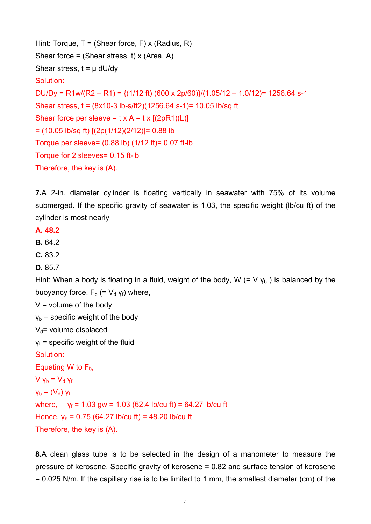```
Hint: Torque, T = (Shear force, F) x (Radius, R)
Shear force = (Shear stress, t) x (Area, A) 
Shear stress, t = \mu dU/dvSolution: 
DU/Dy = R1w/(R2 – R1) = {(1/12 ft) (600 x 2p/60)}/(1.05/12 – 1.0/12)= 1256.64 s-1
Shear stress, t = (8x10-3 lb-s/ft2)(1256.64 s-1)= 10.05 lb/sq ft 
Shear force per sleeve = t \times A = t \times [(2pR1)(L)]= (10.05 lb/sq ft) [(2p(1/12)(2/12)]= 0.88 lb 
Torque per sleeve= (0.88 lb) (1/12 ft)= 0.07 ft-lb 
Torque for 2 sleeves= 0.15 ft-lb 
Therefore, the key is (A).
```
**7.**A 2-in. diameter cylinder is floating vertically in seawater with 75% of its volume submerged. If the specific gravity of seawater is 1.03, the specific weight (lb/cu ft) of the cylinder is most nearly

### **A. 48.2**

**B.** 64.2

**C.** 83.2

**D.** 85.7

Hint: When a body is floating in a fluid, weight of the body, W (= V  $y<sub>b</sub>$ ) is balanced by the buoyancy force,  $F_b$  (=  $V_d$  γ<sub>f</sub>) where,

 $V =$  volume of the body

 $v<sub>b</sub>$  = specific weight of the body

 $V_d$ = volume displaced

 $y_f$  = specific weight of the fluid

Solution:

Equating W to  $F<sub>b</sub>$ ,

 $V_{\text{Vb}} = V_{\text{d}} V_{\text{f}}$  $V_b = (V_d) V_f$ where,  $y_f = 1.03$  gw = 1.03 (62.4 lb/cu ft) = 64.27 lb/cu ft Hence,  $y_b = 0.75$  (64.27 lb/cu ft) = 48.20 lb/cu ft Therefore, the key is (A).

**8.**A clean glass tube is to be selected in the design of a manometer to measure the pressure of kerosene. Specific gravity of kerosene = 0.82 and surface tension of kerosene = 0.025 N/m. If the capillary rise is to be limited to 1 mm, the smallest diameter (cm) of the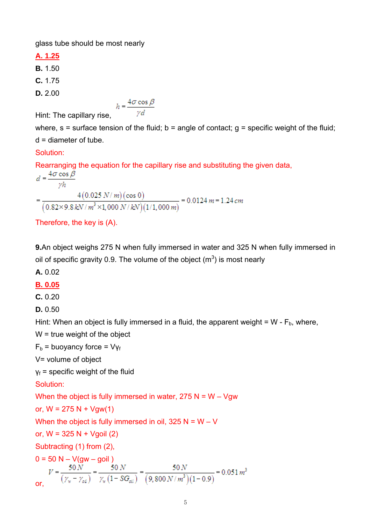glass tube should be most nearly

**A. 1.25**

**B.** 1.50

**C.** 1.75

**D.** 2.00

Hint: The capillary rise,  $h = \frac{4\sigma \cos \beta}{\gamma d}$ 

where,  $s =$  surface tension of the fluid;  $b =$  angle of contact;  $g =$  specific weight of the fluid; d = diameter of tube.

### Solution:

Rearranging the equation for the capillary rise and substituting the given data,

$$
d = \frac{4\sigma \cos \beta}{\gamma h}
$$
  
= 
$$
\frac{4(0.025 \text{ N/m})(\cos 0)}{(0.82 \times 9.8 \text{ kN/m}^3 \times 1,000 \text{ N/kN})(1/1,000 \text{ m})} = 0.0124 \text{ m} = 1.24 \text{ cm}
$$

```
Therefore, the key is (A).
```
**9.**An object weighs 275 N when fully immersed in water and 325 N when fully immersed in oil of specific gravity 0.9. The volume of the object  $(m^3)$  is most nearly

**A.** 0.02

## **B. 0.05**

**C.** 0.20

**D.** 0.50

Hint: When an object is fully immersed in a fluid, the apparent weight =  $W - F_b$ , where,

W = true weight of the object

 $F_b$  = buoyancy force =  $V_{Yf}$ 

V= volume of object

 $y_f$  = specific weight of the fluid

Solution:

When the object is fully immersed in water,  $275 N = W - Vgw$ 

or, 
$$
W = 275 N + Vgw(1)
$$

When the object is fully immersed in oil,  $325 N = W - V$ 

or,  $W = 325 N + V$ goil (2)

Subtracting (1) from (2),

$$
0 = 50 \text{ N} - V(gw - \text{goil})
$$
  
\n
$$
V = \frac{50 \text{ N}}{(\gamma_w - \gamma_{o\bar{u}})} = \frac{50 \text{ N}}{\gamma_w (1 - SG_{oi})} = \frac{50 \text{ N}}{(9,800 \text{ N/m}^3)(1 - 0.9)} = 0.051 \text{ m}^3
$$
  
\nor,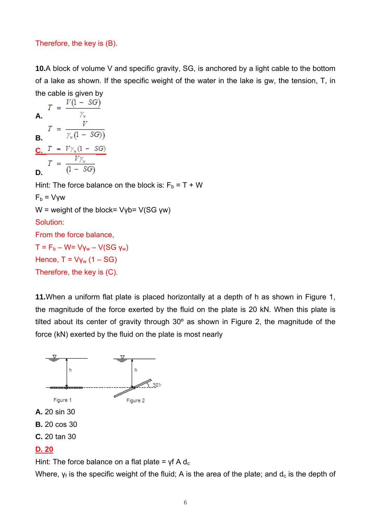#### Therefore, the key is (B).

**10.**A block of volume V and specific gravity, SG, is anchored by a light cable to the bottom of a lake as shown. If the specific weight of the water in the lake is gw, the tension, T, in the cable is given by

 $T = \frac{V(1 - SG)}{\gamma_w}$ **A. B.**  $T = \frac{V}{\gamma_w(1 - SG)}$ **C. D.** Hint: The force balance on the block is:  $F_b = T + W$  $F_b = V\gamma w$  $W =$  weight of the block= Vyb= V(SG yw) Solution: From the force balance,  $T = F_b - W = VV_w - V(SG V_w)$ Hence,  $T = V_{\text{Vw}} (1 - SG)$ Therefore, the key is (C).

**11.**When a uniform flat plate is placed horizontally at a depth of h as shown in Figure 1, the magnitude of the force exerted by the fluid on the plate is 20 kN. When this plate is tilted about its center of gravity through 30º as shown in Figure 2, the magnitude of the force (kN) exerted by the fluid on the plate is most nearly



Hint: The force balance on a flat plate =  $\gamma f A d_c$ 

Where,  $v_f$  is the specific weight of the fluid; A is the area of the plate; and  $d_c$  is the depth of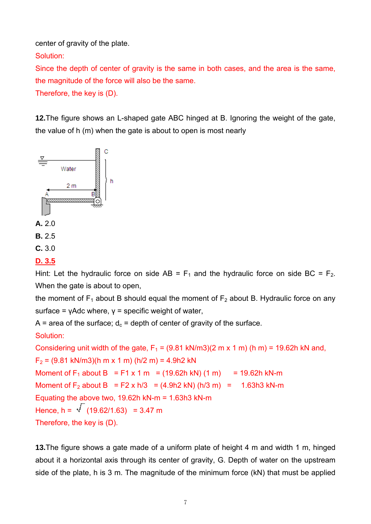center of gravity of the plate.

Solution:

Since the depth of center of gravity is the same in both cases, and the area is the same, the magnitude of the force will also be the same.

Therefore, the key is (D).

**12.**The figure shows an L-shaped gate ABC hinged at B. Ignoring the weight of the gate, the value of h (m) when the gate is about to open is most nearly



## **D. 3.5**

Hint: Let the hydraulic force on side AB =  $F_1$  and the hydraulic force on side BC =  $F_2$ . When the gate is about to open,

the moment of  $F_1$  about B should equal the moment of  $F_2$  about B. Hydraulic force on any surface =  $y$ Adc where,  $y$  = specific weight of water,

A = area of the surface;  $d_c$  = depth of center of gravity of the surface.

## Solution:

```
Considering unit width of the gate, F_1 = (9.81 \text{ kN/m3})(2 \text{ m} \times 1 \text{ m}) (h m) = 19.62h kN and,
F_2 = (9.81 kN/m3)(h m x 1 m) (h/2 m) = 4.9h2 kN
Moment of F_1 about B = F1 x 1 m = (19.62h kN) (1 m) = 19.62h kN-m
Moment of F<sub>2</sub> about B = F2 x h/3 = (4.9h2 kN) (h/3 m) = 1.63h3 kN-m
Equating the above two, 19.62h kN-m = 1.63h3 kN-m 
Hence, h = \sqrt{(19.62/1.63)} = 3.47 m
Therefore, the key is (D).
```
**13.**The figure shows a gate made of a uniform plate of height 4 m and width 1 m, hinged about it a horizontal axis through its center of gravity, G. Depth of water on the upstream side of the plate, h is 3 m. The magnitude of the minimum force (kN) that must be applied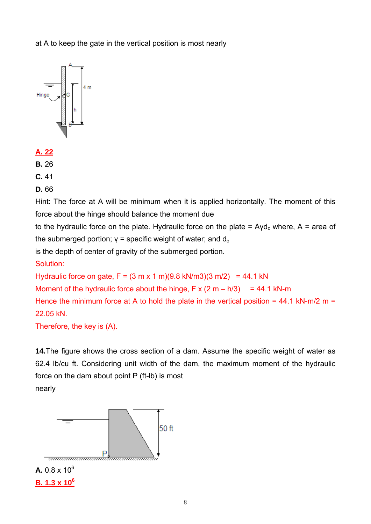at A to keep the gate in the vertical position is most nearly



- **A. 22**
- **B.** 26
- **C.** 41
- **D.** 66

Hint: The force at A will be minimum when it is applied horizontally. The moment of this force about the hinge should balance the moment due

to the hydraulic force on the plate. Hydraulic force on the plate =  $Ayd_c$  where, A = area of the submerged portion;  $γ =$  specific weight of water; and  $d_c$ 

is the depth of center of gravity of the submerged portion.

Solution:

Hydraulic force on gate,  $F = (3 \text{ m} \times 1 \text{ m})(9.8 \text{ kN/m}3)(3 \text{ m}/2) = 44.1 \text{ kN}$ 

Moment of the hydraulic force about the hinge,  $F \times (2 \text{ m} - \text{h}/3) = 44.1 \text{ kN-m}$ 

Hence the minimum force at A to hold the plate in the vertical position =  $44.1 \text{ kN-m/2 m}$  = 22.05 kN.

Therefore, the key is (A).

**14.**The figure shows the cross section of a dam. Assume the specific weight of water as 62.4 lb/cu ft. Considering unit width of the dam, the maximum moment of the hydraulic force on the dam about point P (ft-lb) is most nearly

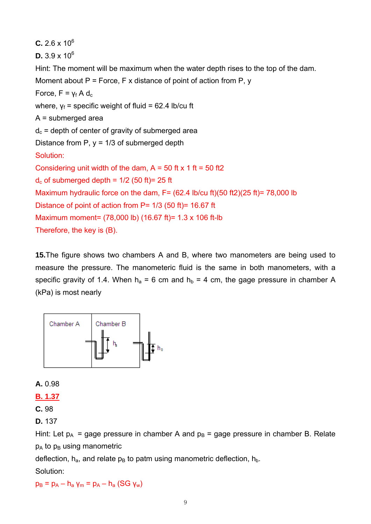```
C. 2.6 \times 10<sup>6</sup>
D. 3.9 \times 10<sup>6</sup>
Hint: The moment will be maximum when the water depth rises to the top of the dam. 
Moment about P = Force, F x distance of point of action from P, y
Force, F = v_f A d_cwhere, v_f = specific weight of fluid = 62.4 lb/cu ft
A = submerged area 
d_c = depth of center of gravity of submerged area
Distance from P, y = 1/3 of submerged depth
Solution: 
Considering unit width of the dam, A = 50 ft x 1 ft = 50 ft2
d<sub>c</sub> of submerged depth = 1/2 (50 ft)= 25 ft
Maximum hydraulic force on the dam, F = (62.4 \text{ lb/cu ft})(50 \text{ ft2})(25 \text{ ft}) = 78,000 \text{ lb}Distance of point of action from P= 1/3 (50 ft)= 16.67 ft 
Maximum moment= (78,000 lb) (16.67 ft)= 1.3 x 106 ft-lb 
Therefore, the key is (B).
```
**15.**The figure shows two chambers A and B, where two manometers are being used to measure the pressure. The manometeric fluid is the same in both manometers, with a specific gravity of 1.4. When  $h_a = 6$  cm and  $h_b = 4$  cm, the gage pressure in chamber A (kPa) is most nearly



**A.** 0.98

**B. 1.37**

**C.** 98

**D.** 137

Hint: Let  $p_A$  = gage pressure in chamber A and  $p_B$  = gage pressure in chamber B. Relate  $p_A$  to  $p_B$  using manometric

deflection,  $h_a$ , and relate  $p_B$  to patm using manometric deflection,  $h_b$ .

Solution:

 $p_B = p_A - h_a$  γ<sub>m</sub> =  $p_A - h_a$  (SG γ<sub>w</sub>)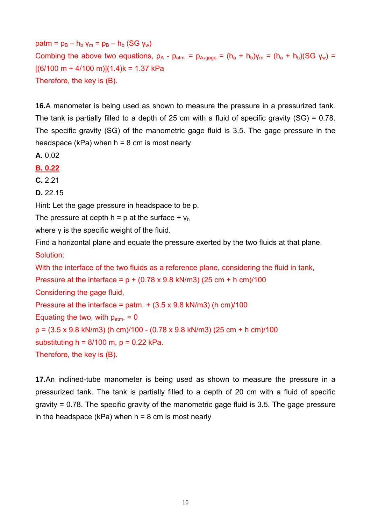$path = p_B - h_b$  γ<sub>m</sub> =  $p_B - h_b$  (SG γ<sub>w</sub>) Combing the above two equations,  $p_A - p_{atm} = p_{A, \text{gauge}} = (h_a + h_b)\gamma_m = (h_a + h_b)(SG \gamma_w) =$  $[(6/100 \text{ m} + 4/100 \text{ m})](1.4)$ k = 1.37 kPa Therefore, the key is (B).

**16.**A manometer is being used as shown to measure the pressure in a pressurized tank. The tank is partially filled to a depth of 25 cm with a fluid of specific gravity (SG) = 0.78. The specific gravity (SG) of the manometric gage fluid is 3.5. The gage pressure in the headspace (kPa) when  $h = 8$  cm is most nearly

**A.** 0.02

**B. 0.22**

**C.** 2.21

**D.** 22.15

Hint: Let the gage pressure in headspace to be p.

The pressure at depth h = p at the surface +  $y_h$ 

where *γ* is the specific weight of the fluid.

Find a horizontal plane and equate the pressure exerted by the two fluids at that plane. Solution:

With the interface of the two fluids as a reference plane, considering the fluid in tank,

Pressure at the interface =  $p + (0.78 \times 9.8 \text{ kN/m3})$  (25 cm + h cm)/100 Considering the gage fluid, Pressure at the interface = patm.  $+(3.5 \times 9.8 \text{ kN/m3})$  (h cm)/100 Equating the two, with  $p_{atm} = 0$  $p = (3.5 \times 9.8 \text{ kN/m3})$  (h cm)/100 - (0.78 x 9.8 kN/m3) (25 cm + h cm)/100 substituting  $h = 8/100$  m,  $p = 0.22$  kPa. Therefore, the key is (B).

**17.**An inclined-tube manometer is being used as shown to measure the pressure in a pressurized tank. The tank is partially filled to a depth of 20 cm with a fluid of specific gravity = 0.78. The specific gravity of the manometric gage fluid is 3.5. The gage pressure in the headspace (kPa) when  $h = 8$  cm is most nearly